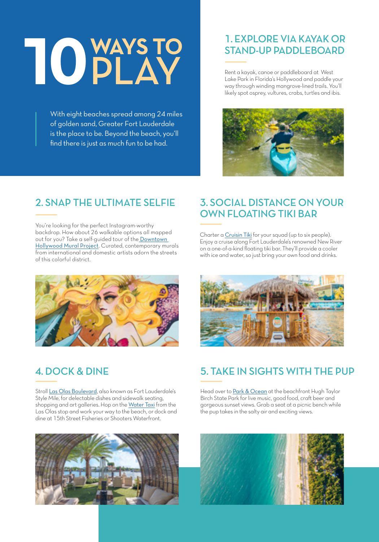# **10 WAYS TO** PLAY

With eight beaches spread among 24 miles of golden sand, Greater Fort Lauderdale is the place to be. Beyond the beach, you'll find there is just as much fun to be had.

## 1. EXPLORE VIA KAYAK OR STAND-UP PADDLEBOARD

Rent a kayak, canoe or paddleboard at [West](https://www.sunny.org/listings/west-lake-park/4762/)  [Lake Park](https://www.sunny.org/listings/west-lake-park/4762/) in Florida's Hollywood and paddle your way through winding mangrove-lined trails. You'll likely spot osprey, vultures, crabs, turtles and ibis.



# 2. SNAP THE ULTIMATE SELFIE

You're looking for the perfect Instagram-worthy backdrop. How about 26 walkable options all mapped out for you? Take a self-guided tour of the [Downtown](https://www.sunny.org/listings/downtown-hollywood-mural-project-(dhmp)/9607/)  [Hollywood Mural Project](https://www.sunny.org/listings/downtown-hollywood-mural-project-(dhmp)/9607/). Curated, contemporary murals from international and domestic artists adorn the streets of this colorful district.



# 4. DOCK & DINE

Stroll [Las Olas Boulevard](https://www.sunny.org/listings/las-olas-boulevard/1246/), also known as Fort Lauderdale's Style Mile, for delectable dishes and sidewalk seating, shopping and art galleries. Hop on the [Water Taxi](https://www.sunny.org/listings/fort-lauderdale-water-taxi-temporarily-open-weekends-only/2623/) from the Las Olas stop and work your way to the beach, or dock and dine at 15th Street Fisheries or Shooters Waterfront.



# 3. SOCIAL DISTANCE ON YOUR OWN FLOATING TIKI BAR

Charter a [Cruisin Tiki](https://www.sunny.org/listings/cruisin-tikis/11005/) for your squad (up to six people). Enjoy a cruise along Fort Lauderdale's renowned New River on a one-of-a-kind floating tiki bar. They'll provide a cooler with ice and water, so just bring your own food and drinks.



# 5. TAKE IN SIGHTS WITH THE PUP

Head over to [Park & Ocean](https://www.sunny.org/listings/park-%26-ocean/10308/) at the beachfront Hugh Taylor Birch State Park for live music, good food, craft beer and gorgeous sunset views. Grab a seat at a picnic bench while the pup takes in the salty air and exciting views.